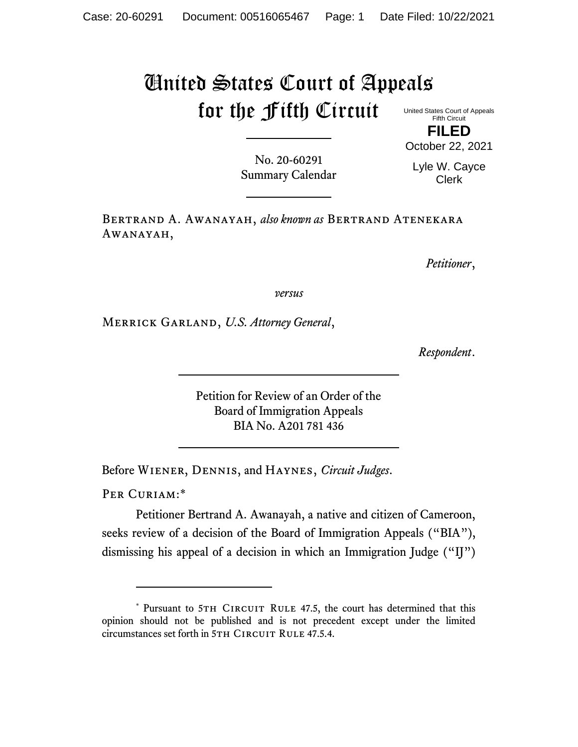## United States Court of Appeals for the Fifth Circuit

United States Court of Appeals Fifth Circuit **FILED**

No. 20-60291 Summary Calendar

Lyle W. Cayce Clerk

October 22, 2021

Bertrand A. Awanayah, *also known as* Bertrand Atenekara Awanayah,

*Petitioner*,

*versus*

Merrick Garland, *U.S. Attorney General*,

*Respondent*.

Petition for Review of an Order of the Board of Immigration Appeals BIA No. A201 781 436

Before Wiener, Dennis, and Haynes, *Circuit Judges*.

PER CURIAM:\*

Petitioner Bertrand A. Awanayah, a native and citizen of Cameroon, seeks review of a decision of the Board of Immigration Appeals ("BIA"), dismissing his appeal of a decision in which an Immigration Judge ("IJ")

<sup>\*</sup> Pursuant to 5TH CIRCUIT RULE 47.5, the court has determined that this opinion should not be published and is not precedent except under the limited circumstances set forth in 5TH CIRCUIT RULE 47.5.4.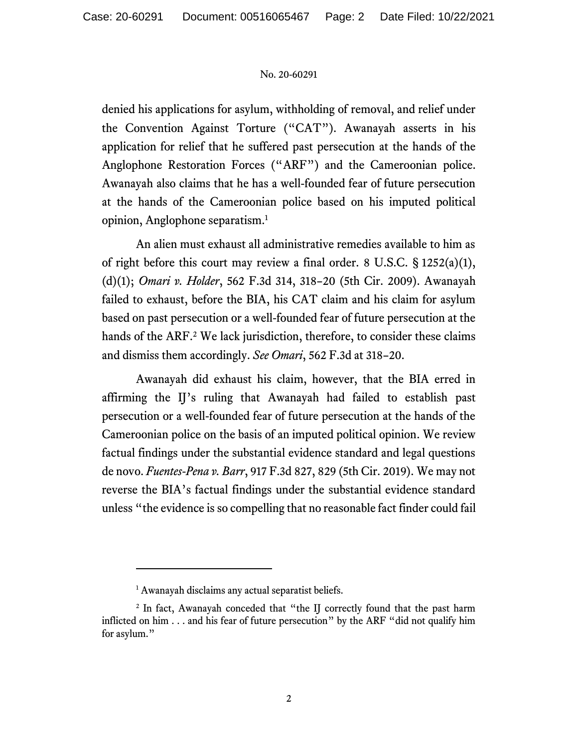## No. 20-60291

denied his applications for asylum, withholding of removal, and relief under the Convention Against Torture ("CAT"). Awanayah asserts in his application for relief that he suffered past persecution at the hands of the Anglophone Restoration Forces ("ARF") and the Cameroonian police. Awanayah also claims that he has a well-founded fear of future persecution at the hands of the Cameroonian police based on his imputed political opinion, Anglophone separatism. 1

An alien must exhaust all administrative remedies available to him as of right before this court may review a final order. 8 U.S.C.  $\S 1252(a)(1)$ , (d)(1); *Omari v. Holder*, 562 F.3d 314, 318–20 (5th Cir. 2009). Awanayah failed to exhaust, before the BIA, his CAT claim and his claim for asylum based on past persecution or a well-founded fear of future persecution at the hands of the ARF. <sup>2</sup> We lack jurisdiction, therefore, to consider these claims and dismiss them accordingly. *See Omari*, 562 F.3d at 318–20.

Awanayah did exhaust his claim, however, that the BIA erred in affirming the IJ's ruling that Awanayah had failed to establish past persecution or a well-founded fear of future persecution at the hands of the Cameroonian police on the basis of an imputed political opinion. We review factual findings under the substantial evidence standard and legal questions de novo. *Fuentes-Pena v. Barr*, 917 F.3d 827, 829 (5th Cir. 2019). We may not reverse the BIA's factual findings under the substantial evidence standard unless "the evidence is so compelling that no reasonable fact finder could fail

<sup>&</sup>lt;sup>1</sup> Awanayah disclaims any actual separatist beliefs.

<sup>&</sup>lt;sup>2</sup> In fact, Awanayah conceded that "the IJ correctly found that the past harm inflicted on him . . . and his fear of future persecution" by the ARF "did not qualify him for asylum."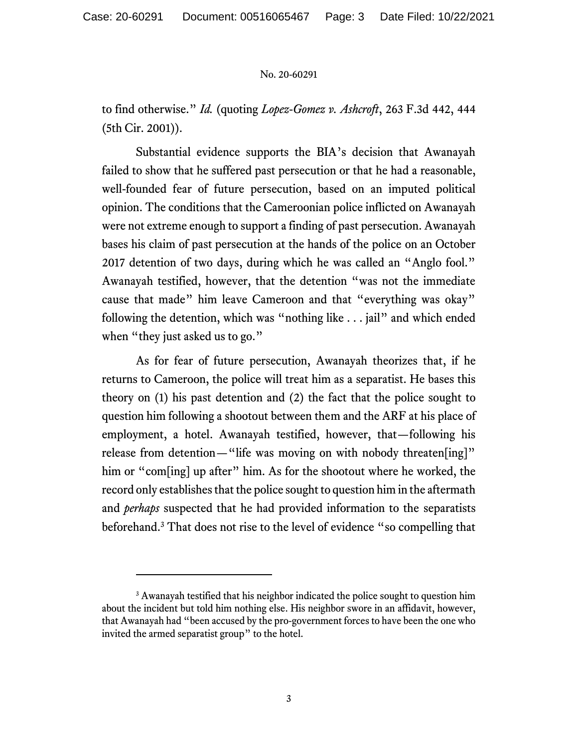## No. 20-60291

to find otherwise." *Id.* (quoting *Lopez-Gomez v. Ashcroft*, 263 F.3d 442, 444 (5th Cir. 2001)).

Substantial evidence supports the BIA's decision that Awanayah failed to show that he suffered past persecution or that he had a reasonable, well-founded fear of future persecution, based on an imputed political opinion. The conditions that the Cameroonian police inflicted on Awanayah were not extreme enough to support a finding of past persecution. Awanayah bases his claim of past persecution at the hands of the police on an October 2017 detention of two days, during which he was called an "Anglo fool." Awanayah testified, however, that the detention "was not the immediate cause that made" him leave Cameroon and that "everything was okay" following the detention, which was "nothing like . . . jail" and which ended when "they just asked us to go."

As for fear of future persecution, Awanayah theorizes that, if he returns to Cameroon, the police will treat him as a separatist. He bases this theory on (1) his past detention and (2) the fact that the police sought to question him following a shootout between them and the ARF at his place of employment, a hotel. Awanayah testified, however, that—following his release from detention—"life was moving on with nobody threaten[ing]" him or "com[ing] up after" him. As for the shootout where he worked, the record only establishes that the police sought to question him in the aftermath and *perhaps* suspected that he had provided information to the separatists beforehand.<sup>3</sup> That does not rise to the level of evidence "so compelling that

<sup>&</sup>lt;sup>3</sup> Awanayah testified that his neighbor indicated the police sought to question him about the incident but told him nothing else. His neighbor swore in an affidavit, however, that Awanayah had "been accused by the pro-government forces to have been the one who invited the armed separatist group" to the hotel.